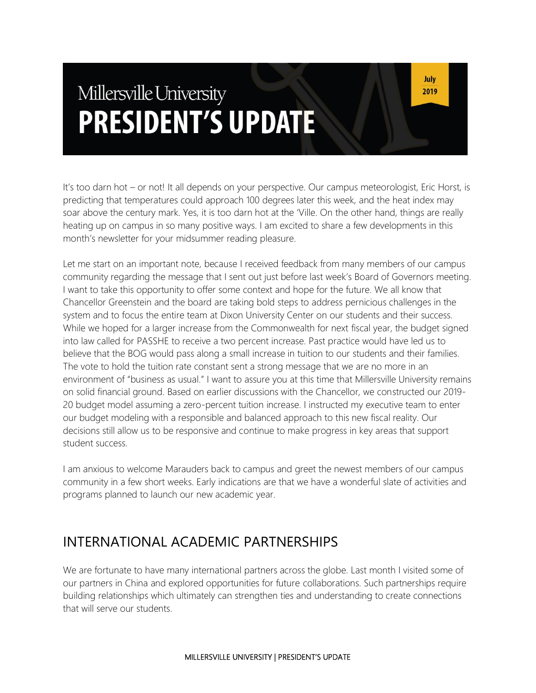# Millersville University **PRESIDENT'S UPDATE**

It's too darn hot – or not! It all depends on your perspective. Our campus meteorologist, Eric Horst, is predicting that temperatures could approach 100 degrees later this week, and the heat index may soar above the century mark. Yes, it is too darn hot at the 'Ville. On the other hand, things are really heating up on campus in so many positive ways. I am excited to share a few developments in this month's newsletter for your midsummer reading pleasure.

Let me start on an important note, because I received feedback from many members of our campus community regarding the message that I sent out just before last week's Board of Governors meeting. I want to take this opportunity to offer some context and hope for the future. We all know that Chancellor Greenstein and the board are taking bold steps to address pernicious challenges in the system and to focus the entire team at Dixon University Center on our students and their success. While we hoped for a larger increase from the Commonwealth for next fiscal year, the budget signed into law called for PASSHE to receive a two percent increase. Past practice would have led us to believe that the BOG would pass along a small increase in tuition to our students and their families. The vote to hold the tuition rate constant sent a strong message that we are no more in an environment of "business as usual." I want to assure you at this time that Millersville University remains on solid financial ground. Based on earlier discussions with the Chancellor, we constructed our 2019- 20 budget model assuming a zero-percent tuition increase. I instructed my executive team to enter our budget modeling with a responsible and balanced approach to this new fiscal reality. Our decisions still allow us to be responsive and continue to make progress in key areas that support student success.

I am anxious to welcome Marauders back to campus and greet the newest members of our campus community in a few short weeks. Early indications are that we have a wonderful slate of activities and programs planned to launch our new academic year.

#### INTERNATIONAL ACADEMIC PARTNERSHIPS

We are fortunate to have many international partners across the globe. Last month I visited some of our partners in China and explored opportunities for future collaborations. Such partnerships require building relationships which ultimately can strengthen ties and understanding to create connections that will serve our students.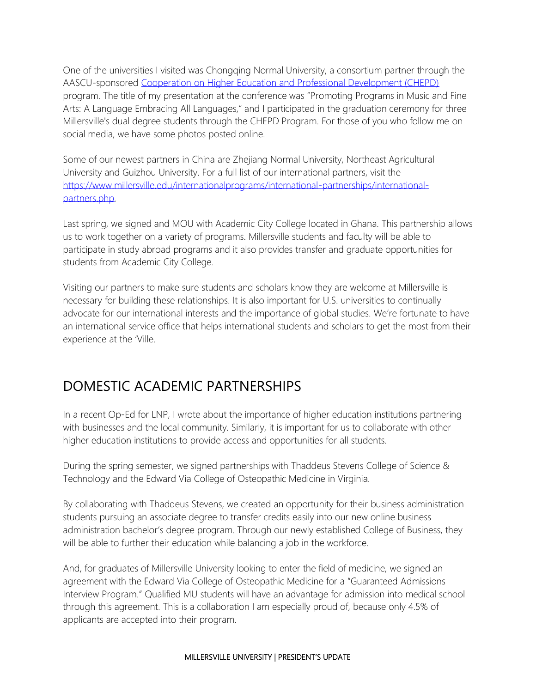One of the universities I visited was Chongqing Normal University, a consortium partner through the AASCU-sponsored [Cooperation on Higher Education and Professional Development \(CHEPD\)](https://www.millersville.edu/internationalprograms/international-partnerships/chepd-1-2-1-program.php) program. The title of my presentation at the conference was "Promoting Programs in Music and Fine Arts: A Language Embracing All Languages," and I participated in the graduation ceremony for three Millersville's dual degree students through the CHEPD Program. For those of you who follow me on social media, we have some photos posted online.

Some of our newest partners in China are Zhejiang Normal University, Northeast Agricultural University and Guizhou University. For a full list of our international partners, visit the [https://www.millersville.edu/internationalprograms/international-partnerships/international](https://www.millersville.edu/internationalprograms/international-partnerships/international-partners.php)[partners.php.](https://www.millersville.edu/internationalprograms/international-partnerships/international-partners.php)

Last spring, we signed and MOU with Academic City College located in Ghana. This partnership allows us to work together on a variety of programs. Millersville students and faculty will be able to participate in study abroad programs and it also provides transfer and graduate opportunities for students from Academic City College.

Visiting our partners to make sure students and scholars know they are welcome at Millersville is necessary for building these relationships. It is also important for U.S. universities to continually advocate for our international interests and the importance of global studies. We're fortunate to have an international service office that helps international students and scholars to get the most from their experience at the 'Ville.

# DOMESTIC ACADEMIC PARTNERSHIPS

In a recent Op-Ed for LNP, I wrote about the importance of higher education institutions partnering with businesses and the local community. Similarly, it is important for us to collaborate with other higher education institutions to provide access and opportunities for all students.

During the spring semester, we signed partnerships with Thaddeus Stevens College of Science & Technology and the Edward Via College of Osteopathic Medicine in Virginia.

By collaborating with Thaddeus Stevens, we created an opportunity for their business administration students pursuing an associate degree to transfer credits easily into our new online business administration bachelor's degree program. Through our newly established College of Business, they will be able to further their education while balancing a job in the workforce.

And, for graduates of Millersville University looking to enter the field of medicine, we signed an agreement with the Edward Via College of Osteopathic Medicine for a "Guaranteed Admissions Interview Program." Qualified MU students will have an advantage for admission into medical school through this agreement. This is a collaboration I am especially proud of, because only 4.5% of applicants are accepted into their program.

#### MILLERSVILLE UNIVERSITY | PRESIDENT'S UPDATE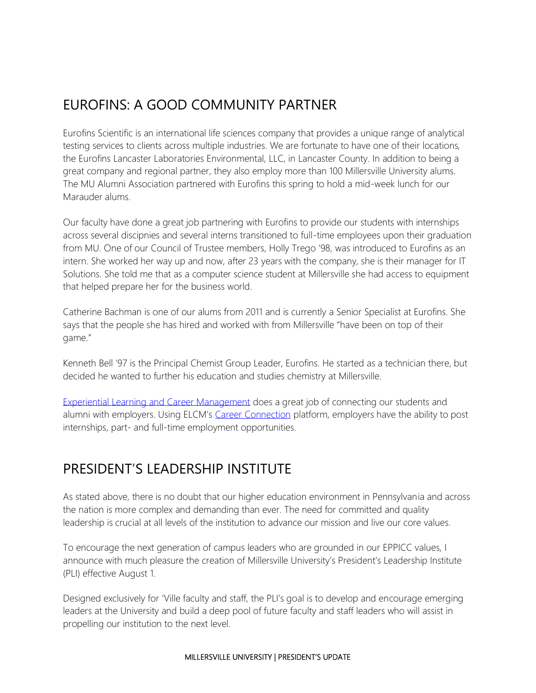# EUROFINS: A GOOD COMMUNITY PARTNER

Eurofins Scientific is an international life sciences company that provides a unique range of analytical testing services to clients across multiple industries. We are fortunate to have one of their locations, the Eurofins Lancaster Laboratories Environmental, LLC, in Lancaster County. In addition to being a great company and regional partner, they also employ more than 100 Millersville University alums. The MU Alumni Association partnered with Eurofins this spring to hold a mid-week lunch for our Marauder alums.

Our faculty have done a great job partnering with Eurofins to provide our students with internships across several discipnies and several interns transitioned to full-time employees upon their graduation from MU. One of our Council of Trustee members, Holly Trego '98, was introduced to Eurofins as an intern. She worked her way up and now, after 23 years with the company, she is their manager for IT Solutions. She told me that as a computer science student at Millersville she had access to equipment that helped prepare her for the business world.

Catherine Bachman is one of our alums from 2011 and is currently a Senior Specialist at Eurofins. She says that the people she has hired and worked with from Millersville "have been on top of their game."

Kenneth Bell '97 is the Principal Chemist Group Leader, Eurofins. He started as a technician there, but decided he wanted to further his education and studies chemistry at Millersville.

[Experiential Learning and Career Management](https://www.millersville.edu/elcm/index.php) does a great job of connecting our students and alumni with employers. Using ELCM's [Career Connection](https://www.millersville.edu/elcm/career-connection/employers.php) platform, employers have the ability to post internships, part- and full-time employment opportunities.

# PRESIDENT'S LEADERSHIP INSTITUTE

As stated above, there is no doubt that our higher education environment in Pennsylvania and across the nation is more complex and demanding than ever. The need for committed and quality leadership is crucial at all levels of the institution to advance our mission and live our core values.

To encourage the next generation of campus leaders who are grounded in our EPPICC values, I announce with much pleasure the creation of Millersville University's President's Leadership Institute (PLI) effective August 1.

Designed exclusively for 'Ville faculty and staff, the PLI's goal is to develop and encourage emerging leaders at the University and build a deep pool of future faculty and staff leaders who will assist in propelling our institution to the next level.

#### MILLERSVILLE UNIVERSITY | PRESIDENT'S UPDATE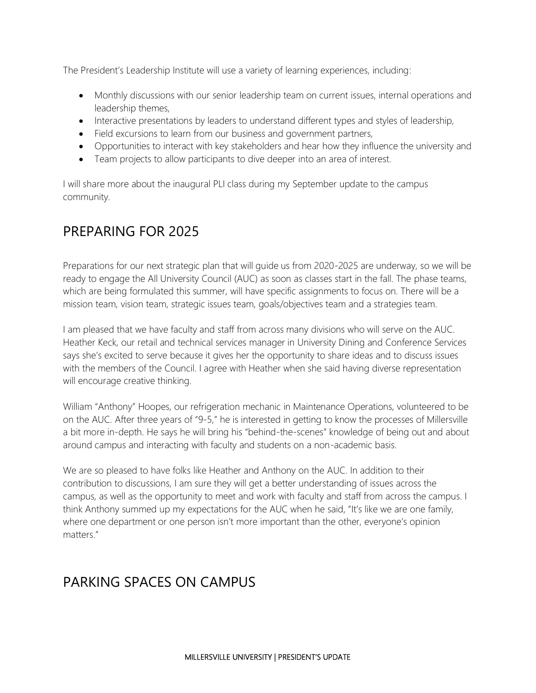The President's Leadership Institute will use a variety of learning experiences, including:

- Monthly discussions with our senior leadership team on current issues, internal operations and leadership themes,
- Interactive presentations by leaders to understand different types and styles of leadership,
- Field excursions to learn from our business and government partners,
- Opportunities to interact with key stakeholders and hear how they influence the university and
- Team projects to allow participants to dive deeper into an area of interest.

I will share more about the inaugural PLI class during my September update to the campus community.

## PREPARING FOR 2025

Preparations for our next strategic plan that will guide us from 2020-2025 are underway, so we will be ready to engage the All University Council (AUC) as soon as classes start in the fall. The phase teams, which are being formulated this summer, will have specific assignments to focus on. There will be a mission team, vision team, strategic issues team, goals/objectives team and a strategies team.

I am pleased that we have faculty and staff from across many divisions who will serve on the AUC. Heather Keck, our retail and technical services manager in University Dining and Conference Services says she's excited to serve because it gives her the opportunity to share ideas and to discuss issues with the members of the Council. I agree with Heather when she said having diverse representation will encourage creative thinking.

William "Anthony" Hoopes, our refrigeration mechanic in Maintenance Operations, volunteered to be on the AUC. After three years of "9-5," he is interested in getting to know the processes of Millersville a bit more in-depth. He says he will bring his "behind-the-scenes" knowledge of being out and about around campus and interacting with faculty and students on a non-academic basis.

We are so pleased to have folks like Heather and Anthony on the AUC. In addition to their contribution to discussions, I am sure they will get a better understanding of issues across the campus, as well as the opportunity to meet and work with faculty and staff from across the campus. I think Anthony summed up my expectations for the AUC when he said, "It's like we are one family, where one department or one person isn't more important than the other, everyone's opinion matters."

## PARKING SPACES ON CAMPUS